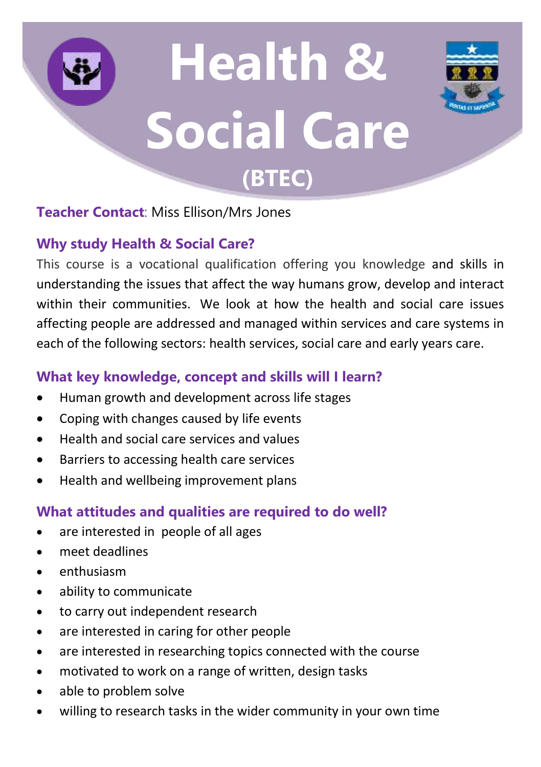# **Health & Social Care (BTEC)**



## **Teacher Contact**: Miss Ellison/Mrs Jones

## **Why study Health & Social Care?**

This course is a vocational qualification offering you knowledge and skills in understanding the issues that affect the way humans grow, develop and interact within their communities. We look at how the health and social care issues affecting people are addressed and managed within services and care systems in each of the following sectors: health services, social care and early years care.

## **What key knowledge, concept and skills will I learn?**

- Human growth and development across life stages
- Coping with changes caused by life events
- Health and social care services and values
- Barriers to accessing health care services
- Health and wellbeing improvement plans

## **What attitudes and qualities are required to do well?**

- are interested in people of all ages
- meet deadlines
- enthusiasm
- ability to communicate
- to carry out independent research
- are interested in caring for other people
- are interested in researching topics connected with the course
- motivated to work on a range of written, design tasks
- able to problem solve
- willing to research tasks in the wider community in your own time